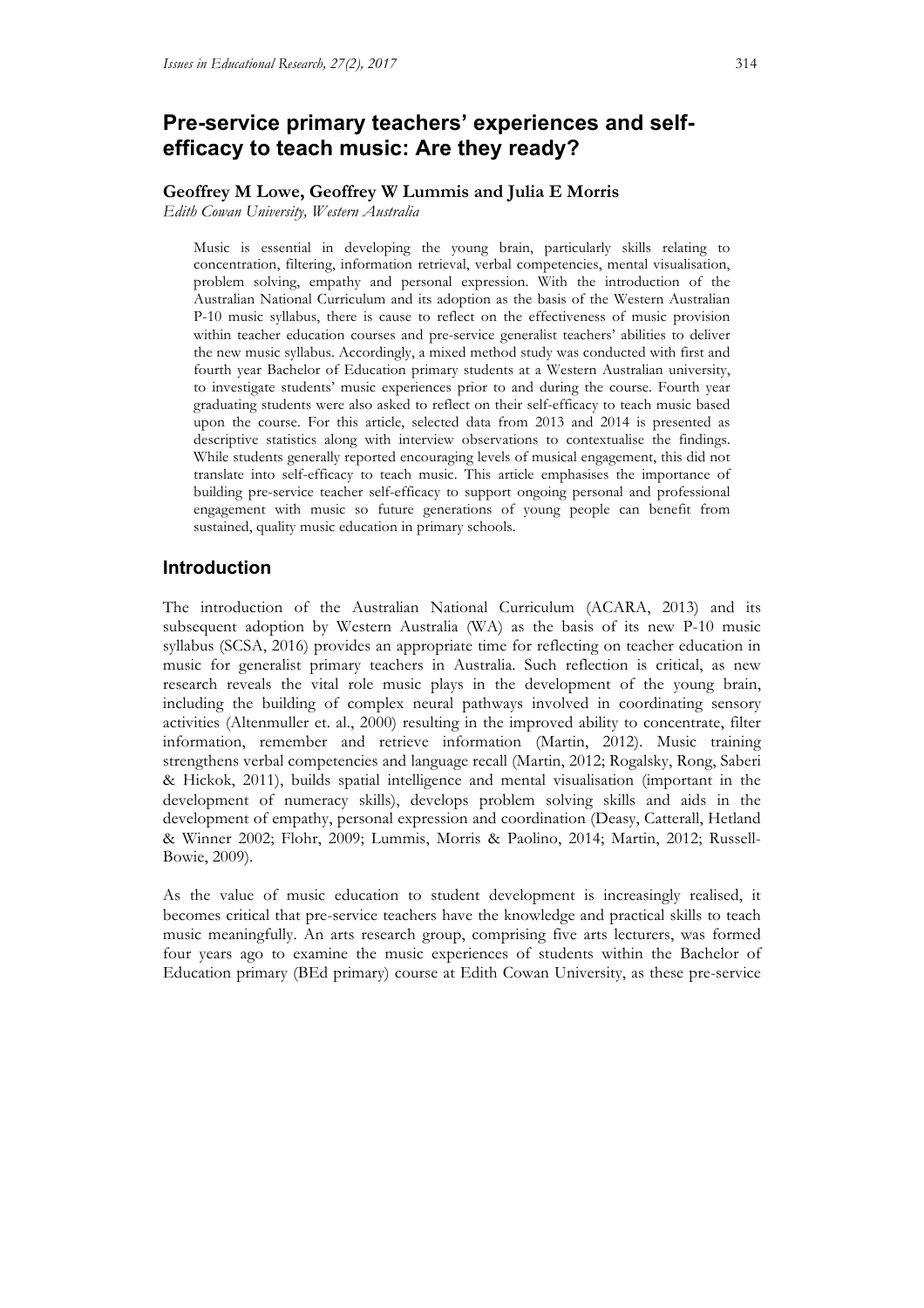# **Pre-service primary teachers' experiences and selfefficacy to teach music: Are they ready?**

#### **Geoffrey M Lowe, Geoffrey W Lummis and Julia E Morris**

*Edith Cowan University, Western Australia*

Music is essential in developing the young brain, particularly skills relating to concentration, filtering, information retrieval, verbal competencies, mental visualisation, problem solving, empathy and personal expression. With the introduction of the Australian National Curriculum and its adoption as the basis of the Western Australian P-10 music syllabus, there is cause to reflect on the effectiveness of music provision within teacher education courses and pre-service generalist teachers' abilities to deliver the new music syllabus. Accordingly, a mixed method study was conducted with first and fourth year Bachelor of Education primary students at a Western Australian university, to investigate students' music experiences prior to and during the course. Fourth year graduating students were also asked to reflect on their self-efficacy to teach music based upon the course. For this article, selected data from 2013 and 2014 is presented as descriptive statistics along with interview observations to contextualise the findings. While students generally reported encouraging levels of musical engagement, this did not translate into self-efficacy to teach music. This article emphasises the importance of building pre-service teacher self-efficacy to support ongoing personal and professional engagement with music so future generations of young people can benefit from sustained, quality music education in primary schools.

#### **Introduction**

The introduction of the Australian National Curriculum (ACARA, 2013) and its subsequent adoption by Western Australia (WA) as the basis of its new P-10 music syllabus (SCSA, 2016) provides an appropriate time for reflecting on teacher education in music for generalist primary teachers in Australia. Such reflection is critical, as new research reveals the vital role music plays in the development of the young brain, including the building of complex neural pathways involved in coordinating sensory activities (Altenmuller et. al., 2000) resulting in the improved ability to concentrate, filter information, remember and retrieve information (Martin, 2012). Music training strengthens verbal competencies and language recall (Martin, 2012; Rogalsky, Rong, Saberi & Hickok, 2011), builds spatial intelligence and mental visualisation (important in the development of numeracy skills), develops problem solving skills and aids in the development of empathy, personal expression and coordination (Deasy, Catterall, Hetland & Winner 2002; Flohr, 2009; Lummis, Morris & Paolino, 2014; Martin, 2012; Russell-Bowie, 2009).

As the value of music education to student development is increasingly realised, it becomes critical that pre-service teachers have the knowledge and practical skills to teach music meaningfully. An arts research group, comprising five arts lecturers, was formed four years ago to examine the music experiences of students within the Bachelor of Education primary (BEd primary) course at Edith Cowan University, as these pre-service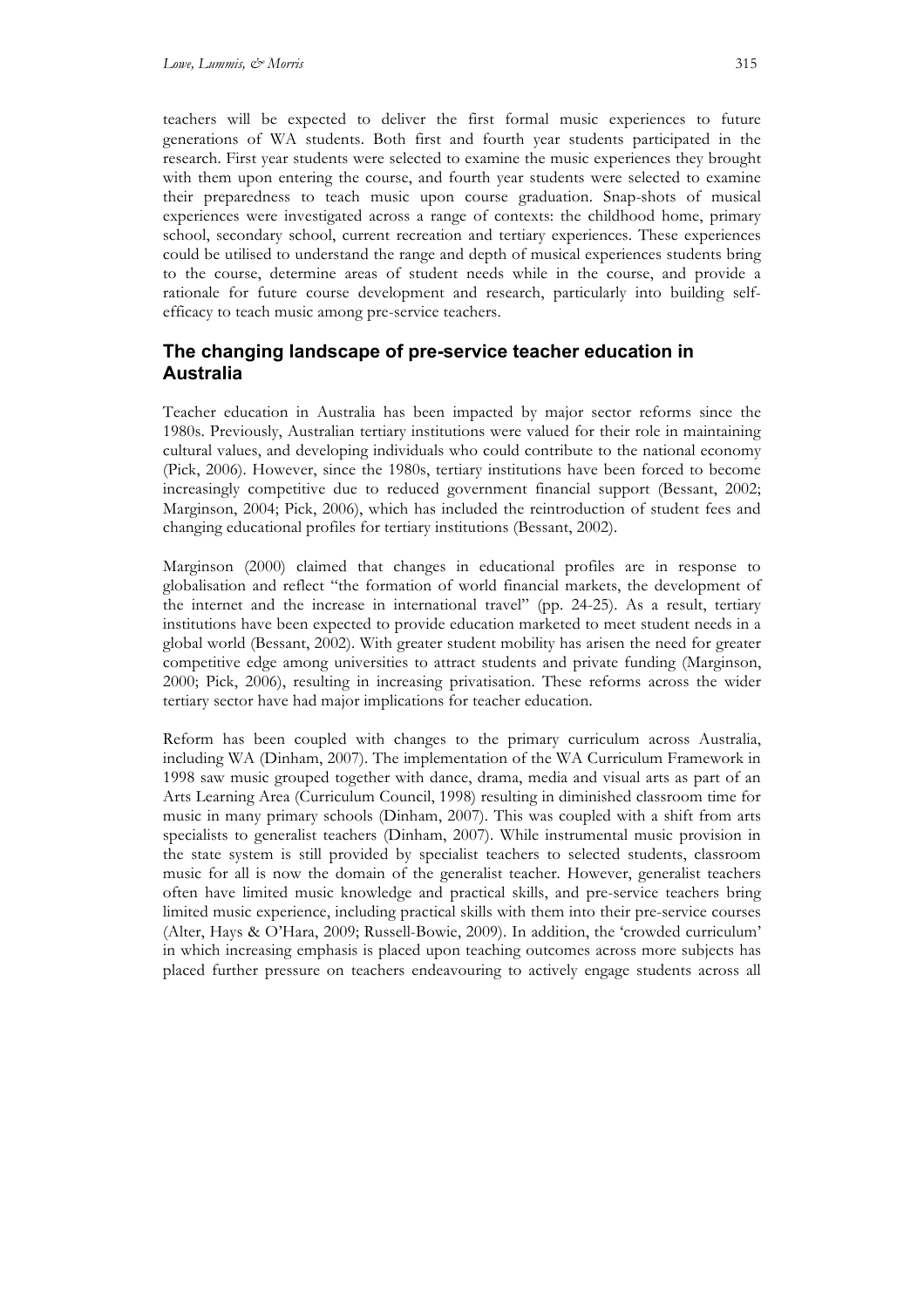teachers will be expected to deliver the first formal music experiences to future generations of WA students. Both first and fourth year students participated in the research. First year students were selected to examine the music experiences they brought with them upon entering the course, and fourth year students were selected to examine their preparedness to teach music upon course graduation. Snap-shots of musical experiences were investigated across a range of contexts: the childhood home, primary school, secondary school, current recreation and tertiary experiences. These experiences could be utilised to understand the range and depth of musical experiences students bring to the course, determine areas of student needs while in the course, and provide a rationale for future course development and research, particularly into building selfefficacy to teach music among pre-service teachers.

# **The changing landscape of pre-service teacher education in Australia**

Teacher education in Australia has been impacted by major sector reforms since the 1980s. Previously, Australian tertiary institutions were valued for their role in maintaining cultural values, and developing individuals who could contribute to the national economy (Pick, 2006). However, since the 1980s, tertiary institutions have been forced to become increasingly competitive due to reduced government financial support (Bessant, 2002; Marginson, 2004; Pick, 2006), which has included the reintroduction of student fees and changing educational profiles for tertiary institutions (Bessant, 2002).

Marginson (2000) claimed that changes in educational profiles are in response to globalisation and reflect "the formation of world financial markets, the development of the internet and the increase in international travel" (pp. 24-25). As a result, tertiary institutions have been expected to provide education marketed to meet student needs in a global world (Bessant, 2002). With greater student mobility has arisen the need for greater competitive edge among universities to attract students and private funding (Marginson, 2000; Pick, 2006), resulting in increasing privatisation. These reforms across the wider tertiary sector have had major implications for teacher education.

Reform has been coupled with changes to the primary curriculum across Australia, including WA (Dinham, 2007). The implementation of the WA Curriculum Framework in 1998 saw music grouped together with dance, drama, media and visual arts as part of an Arts Learning Area (Curriculum Council, 1998) resulting in diminished classroom time for music in many primary schools (Dinham, 2007). This was coupled with a shift from arts specialists to generalist teachers (Dinham, 2007). While instrumental music provision in the state system is still provided by specialist teachers to selected students, classroom music for all is now the domain of the generalist teacher. However, generalist teachers often have limited music knowledge and practical skills, and pre-service teachers bring limited music experience, including practical skills with them into their pre-service courses (Alter, Hays & O'Hara, 2009; Russell-Bowie, 2009). In addition, the 'crowded curriculum' in which increasing emphasis is placed upon teaching outcomes across more subjects has placed further pressure on teachers endeavouring to actively engage students across all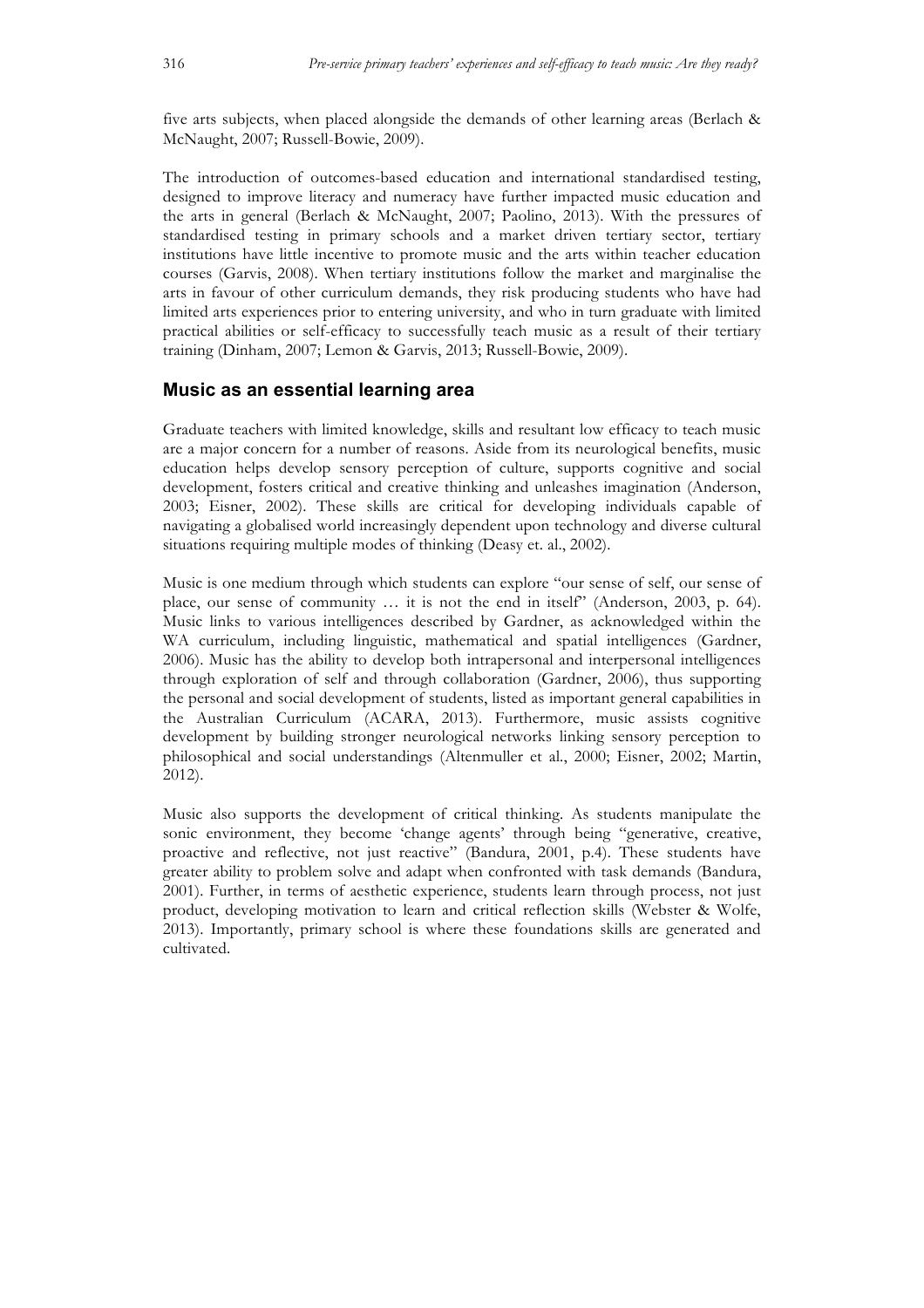five arts subjects, when placed alongside the demands of other learning areas (Berlach & McNaught, 2007; Russell-Bowie, 2009).

The introduction of outcomes-based education and international standardised testing, designed to improve literacy and numeracy have further impacted music education and the arts in general (Berlach & McNaught, 2007; Paolino, 2013). With the pressures of standardised testing in primary schools and a market driven tertiary sector, tertiary institutions have little incentive to promote music and the arts within teacher education courses (Garvis, 2008). When tertiary institutions follow the market and marginalise the arts in favour of other curriculum demands, they risk producing students who have had limited arts experiences prior to entering university, and who in turn graduate with limited practical abilities or self-efficacy to successfully teach music as a result of their tertiary training (Dinham, 2007; Lemon & Garvis, 2013; Russell-Bowie, 2009).

#### **Music as an essential learning area**

Graduate teachers with limited knowledge, skills and resultant low efficacy to teach music are a major concern for a number of reasons. Aside from its neurological benefits, music education helps develop sensory perception of culture, supports cognitive and social development, fosters critical and creative thinking and unleashes imagination (Anderson, 2003; Eisner, 2002). These skills are critical for developing individuals capable of navigating a globalised world increasingly dependent upon technology and diverse cultural situations requiring multiple modes of thinking (Deasy et. al., 2002).

Music is one medium through which students can explore "our sense of self, our sense of place, our sense of community … it is not the end in itself" (Anderson, 2003, p. 64). Music links to various intelligences described by Gardner, as acknowledged within the WA curriculum, including linguistic, mathematical and spatial intelligences (Gardner, 2006). Music has the ability to develop both intrapersonal and interpersonal intelligences through exploration of self and through collaboration (Gardner, 2006), thus supporting the personal and social development of students, listed as important general capabilities in the Australian Curriculum (ACARA, 2013). Furthermore, music assists cognitive development by building stronger neurological networks linking sensory perception to philosophical and social understandings (Altenmuller et al., 2000; Eisner, 2002; Martin, 2012).

Music also supports the development of critical thinking. As students manipulate the sonic environment, they become 'change agents' through being "generative, creative, proactive and reflective, not just reactive" (Bandura, 2001, p.4). These students have greater ability to problem solve and adapt when confronted with task demands (Bandura, 2001). Further, in terms of aesthetic experience, students learn through process, not just product, developing motivation to learn and critical reflection skills (Webster & Wolfe, 2013). Importantly, primary school is where these foundations skills are generated and cultivated.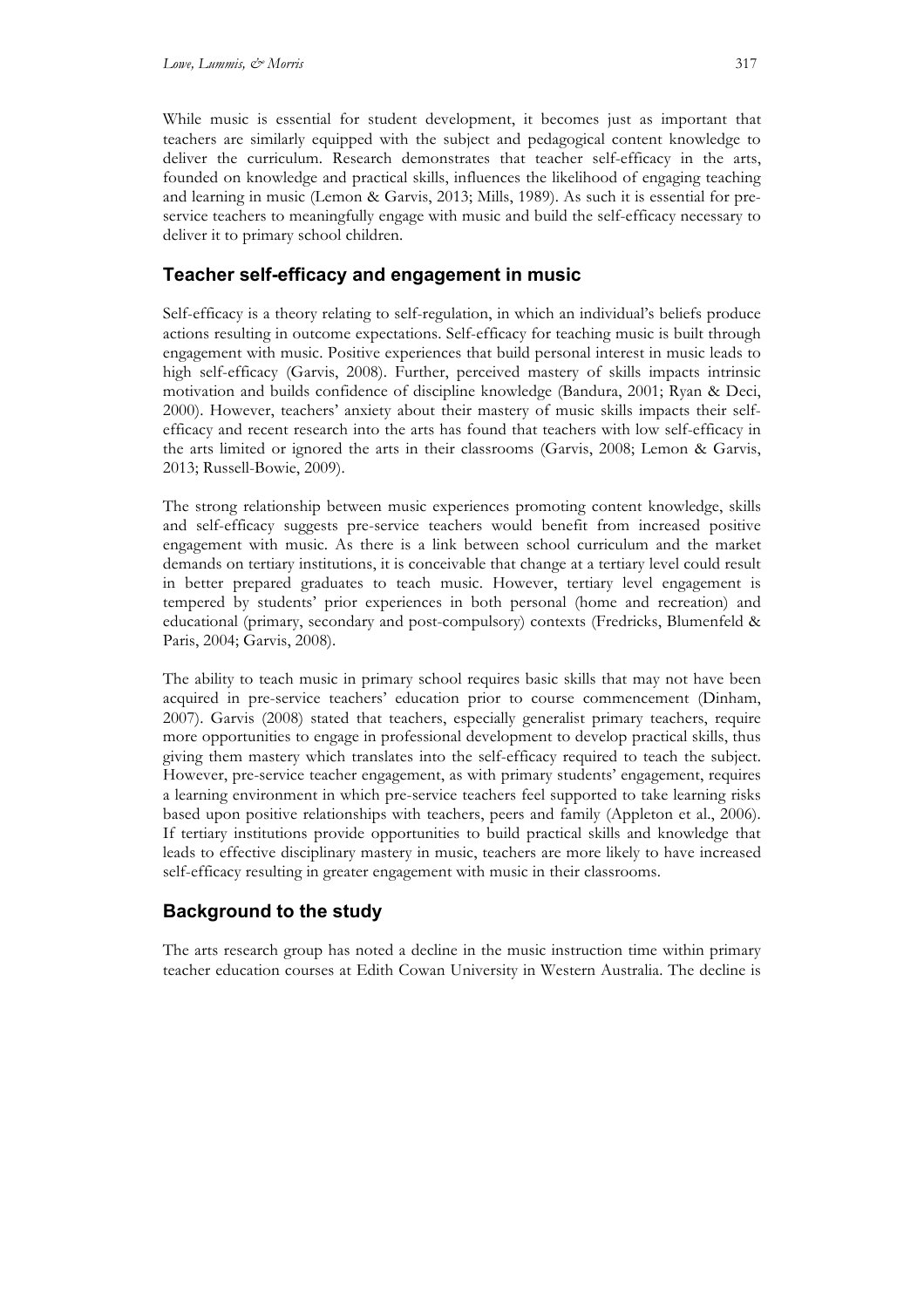While music is essential for student development, it becomes just as important that teachers are similarly equipped with the subject and pedagogical content knowledge to deliver the curriculum. Research demonstrates that teacher self-efficacy in the arts, founded on knowledge and practical skills, influences the likelihood of engaging teaching and learning in music (Lemon & Garvis, 2013; Mills, 1989). As such it is essential for preservice teachers to meaningfully engage with music and build the self-efficacy necessary to deliver it to primary school children.

### **Teacher self-efficacy and engagement in music**

Self-efficacy is a theory relating to self-regulation, in which an individual's beliefs produce actions resulting in outcome expectations. Self-efficacy for teaching music is built through engagement with music. Positive experiences that build personal interest in music leads to high self-efficacy (Garvis, 2008). Further, perceived mastery of skills impacts intrinsic motivation and builds confidence of discipline knowledge (Bandura, 2001; Ryan & Deci, 2000). However, teachers' anxiety about their mastery of music skills impacts their selfefficacy and recent research into the arts has found that teachers with low self-efficacy in the arts limited or ignored the arts in their classrooms (Garvis, 2008; Lemon & Garvis, 2013; Russell-Bowie, 2009).

The strong relationship between music experiences promoting content knowledge, skills and self-efficacy suggests pre-service teachers would benefit from increased positive engagement with music. As there is a link between school curriculum and the market demands on tertiary institutions, it is conceivable that change at a tertiary level could result in better prepared graduates to teach music. However, tertiary level engagement is tempered by students' prior experiences in both personal (home and recreation) and educational (primary, secondary and post-compulsory) contexts (Fredricks, Blumenfeld & Paris, 2004; Garvis, 2008).

The ability to teach music in primary school requires basic skills that may not have been acquired in pre-service teachers' education prior to course commencement (Dinham, 2007). Garvis (2008) stated that teachers, especially generalist primary teachers, require more opportunities to engage in professional development to develop practical skills, thus giving them mastery which translates into the self-efficacy required to teach the subject. However, pre-service teacher engagement, as with primary students' engagement, requires a learning environment in which pre-service teachers feel supported to take learning risks based upon positive relationships with teachers, peers and family (Appleton et al., 2006). If tertiary institutions provide opportunities to build practical skills and knowledge that leads to effective disciplinary mastery in music, teachers are more likely to have increased self-efficacy resulting in greater engagement with music in their classrooms.

## **Background to the study**

The arts research group has noted a decline in the music instruction time within primary teacher education courses at Edith Cowan University in Western Australia. The decline is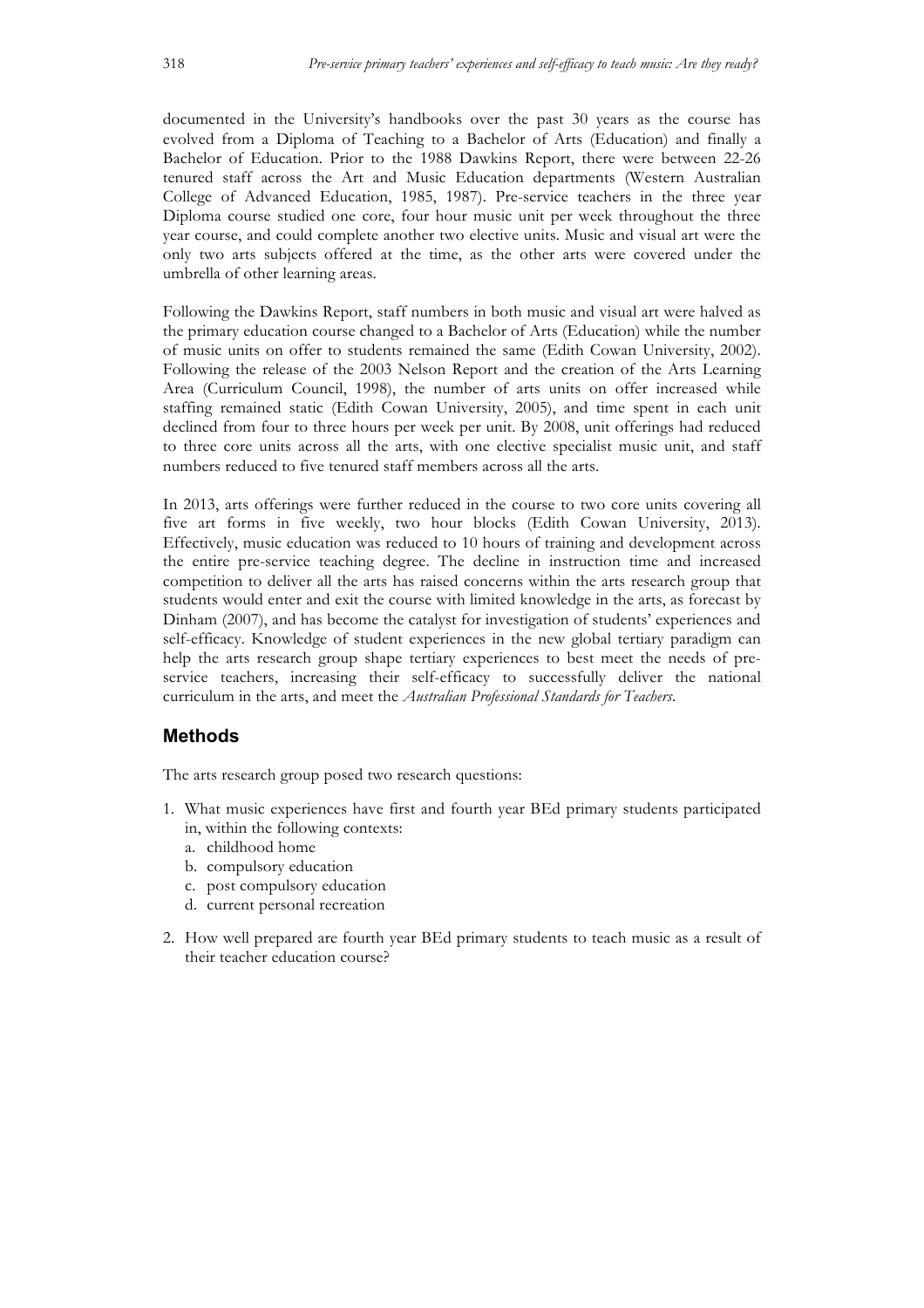documented in the University's handbooks over the past 30 years as the course has evolved from a Diploma of Teaching to a Bachelor of Arts (Education) and finally a Bachelor of Education. Prior to the 1988 Dawkins Report, there were between 22-26 tenured staff across the Art and Music Education departments (Western Australian College of Advanced Education, 1985, 1987). Pre-service teachers in the three year Diploma course studied one core, four hour music unit per week throughout the three year course, and could complete another two elective units. Music and visual art were the only two arts subjects offered at the time, as the other arts were covered under the umbrella of other learning areas.

Following the Dawkins Report, staff numbers in both music and visual art were halved as the primary education course changed to a Bachelor of Arts (Education) while the number of music units on offer to students remained the same (Edith Cowan University, 2002). Following the release of the 2003 Nelson Report and the creation of the Arts Learning Area (Curriculum Council, 1998), the number of arts units on offer increased while staffing remained static (Edith Cowan University, 2005), and time spent in each unit declined from four to three hours per week per unit. By 2008, unit offerings had reduced to three core units across all the arts, with one elective specialist music unit, and staff numbers reduced to five tenured staff members across all the arts.

In 2013, arts offerings were further reduced in the course to two core units covering all five art forms in five weekly, two hour blocks (Edith Cowan University, 2013). Effectively, music education was reduced to 10 hours of training and development across the entire pre-service teaching degree. The decline in instruction time and increased competition to deliver all the arts has raised concerns within the arts research group that students would enter and exit the course with limited knowledge in the arts, as forecast by Dinham (2007), and has become the catalyst for investigation of students' experiences and self-efficacy. Knowledge of student experiences in the new global tertiary paradigm can help the arts research group shape tertiary experiences to best meet the needs of preservice teachers, increasing their self-efficacy to successfully deliver the national curriculum in the arts, and meet the *Australian Professional Standards for Teachers*.

#### **Methods**

The arts research group posed two research questions:

- 1. What music experiences have first and fourth year BEd primary students participated in, within the following contexts:
	- a. childhood home
	- b. compulsory education
	- c. post compulsory education
	- d. current personal recreation
- 2. How well prepared are fourth year BEd primary students to teach music as a result of their teacher education course?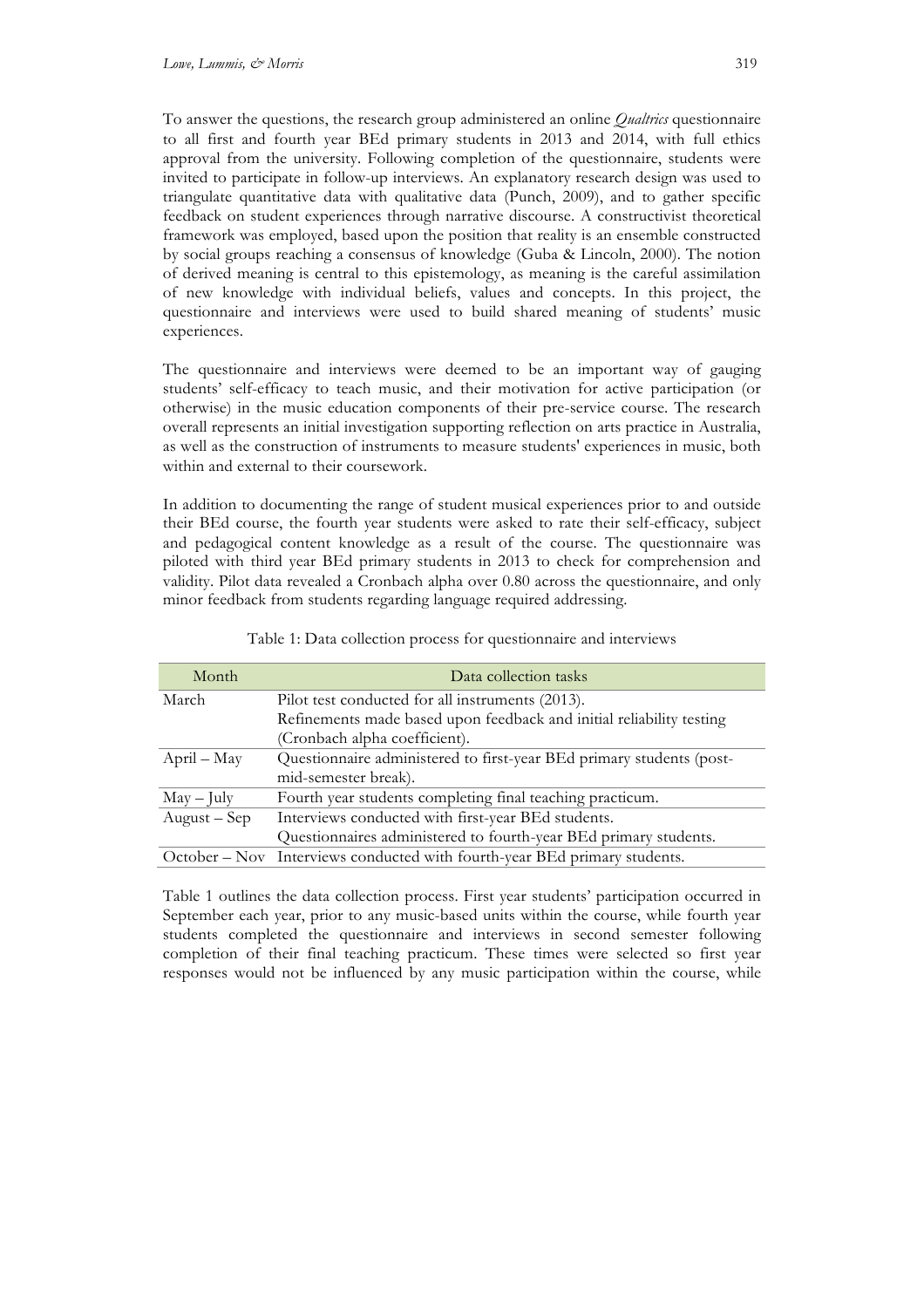To answer the questions, the research group administered an online *Qualtrics* questionnaire to all first and fourth year BEd primary students in 2013 and 2014, with full ethics approval from the university. Following completion of the questionnaire, students were invited to participate in follow-up interviews. An explanatory research design was used to triangulate quantitative data with qualitative data (Punch, 2009), and to gather specific feedback on student experiences through narrative discourse. A constructivist theoretical framework was employed, based upon the position that reality is an ensemble constructed by social groups reaching a consensus of knowledge (Guba & Lincoln, 2000). The notion of derived meaning is central to this epistemology, as meaning is the careful assimilation of new knowledge with individual beliefs, values and concepts. In this project, the questionnaire and interviews were used to build shared meaning of students' music experiences.

The questionnaire and interviews were deemed to be an important way of gauging students' self-efficacy to teach music, and their motivation for active participation (or otherwise) in the music education components of their pre-service course. The research overall represents an initial investigation supporting reflection on arts practice in Australia, as well as the construction of instruments to measure students' experiences in music, both within and external to their coursework.

In addition to documenting the range of student musical experiences prior to and outside their BEd course, the fourth year students were asked to rate their self-efficacy, subject and pedagogical content knowledge as a result of the course. The questionnaire was piloted with third year BEd primary students in 2013 to check for comprehension and validity. Pilot data revealed a Cronbach alpha over 0.80 across the questionnaire, and only minor feedback from students regarding language required addressing.

| Month        | Data collection tasks                                                     |
|--------------|---------------------------------------------------------------------------|
| March        | Pilot test conducted for all instruments (2013).                          |
|              | Refinements made based upon feedback and initial reliability testing      |
|              | (Cronbach alpha coefficient).                                             |
| April – May  | Questionnaire administered to first-year BEd primary students (post-      |
|              | mid-semester break).                                                      |
| $May - July$ | Fourth year students completing final teaching practicum.                 |
| August – Sep | Interviews conducted with first-year BEd students.                        |
|              | Questionnaires administered to fourth-year BEd primary students.          |
|              | October - Nov Interviews conducted with fourth-year BEd primary students. |

Table 1: Data collection process for questionnaire and interviews

Table 1 outlines the data collection process. First year students' participation occurred in September each year, prior to any music-based units within the course, while fourth year students completed the questionnaire and interviews in second semester following completion of their final teaching practicum. These times were selected so first year responses would not be influenced by any music participation within the course, while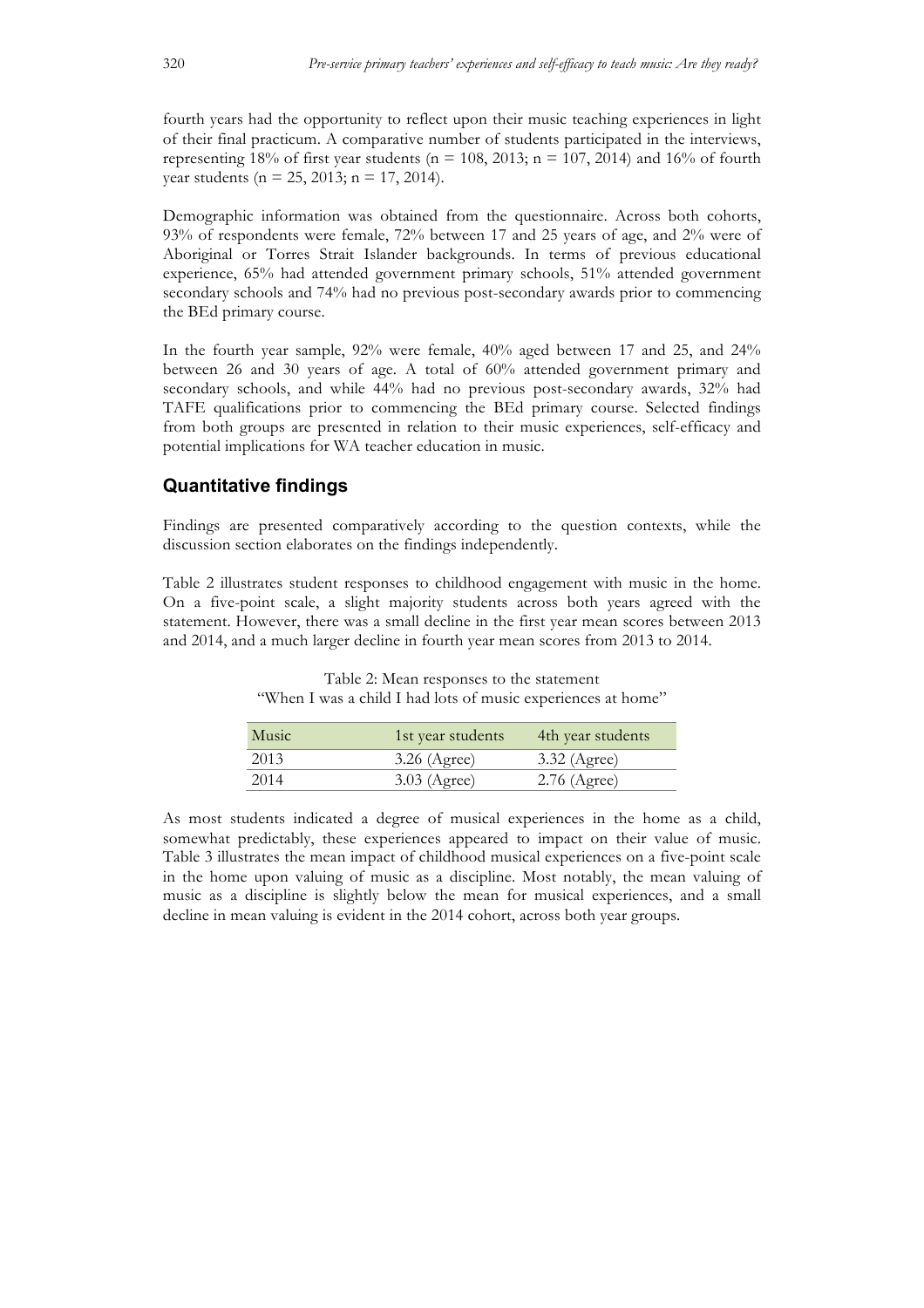fourth years had the opportunity to reflect upon their music teaching experiences in light of their final practicum. A comparative number of students participated in the interviews, representing 18% of first year students ( $n = 108$ , 2013;  $n = 107$ , 2014) and 16% of fourth year students ( $n = 25$ , 2013;  $n = 17$ , 2014).

Demographic information was obtained from the questionnaire. Across both cohorts, 93% of respondents were female, 72% between 17 and 25 years of age, and 2% were of Aboriginal or Torres Strait Islander backgrounds. In terms of previous educational experience, 65% had attended government primary schools, 51% attended government secondary schools and 74% had no previous post-secondary awards prior to commencing the BEd primary course.

In the fourth year sample, 92% were female, 40% aged between 17 and 25, and 24% between 26 and 30 years of age. A total of 60% attended government primary and secondary schools, and while 44% had no previous post-secondary awards, 32% had TAFE qualifications prior to commencing the BEd primary course. Selected findings from both groups are presented in relation to their music experiences, self-efficacy and potential implications for WA teacher education in music.

### **Quantitative findings**

Findings are presented comparatively according to the question contexts, while the discussion section elaborates on the findings independently.

Table 2 illustrates student responses to childhood engagement with music in the home. On a five-point scale, a slight majority students across both years agreed with the statement. However, there was a small decline in the first year mean scores between 2013 and 2014, and a much larger decline in fourth year mean scores from 2013 to 2014.

| Music | 1st year students | 4th year students |
|-------|-------------------|-------------------|
| 2013  | $3.26$ (Agree)    | 3.32 (Agree)      |
| 2014  | $3.03$ (Agree)    | $2.76$ (Agree)    |

Table 2: Mean responses to the statement "When I was a child I had lots of music experiences at home"

As most students indicated a degree of musical experiences in the home as a child, somewhat predictably, these experiences appeared to impact on their value of music. Table 3 illustrates the mean impact of childhood musical experiences on a five-point scale in the home upon valuing of music as a discipline. Most notably, the mean valuing of music as a discipline is slightly below the mean for musical experiences, and a small decline in mean valuing is evident in the 2014 cohort, across both year groups.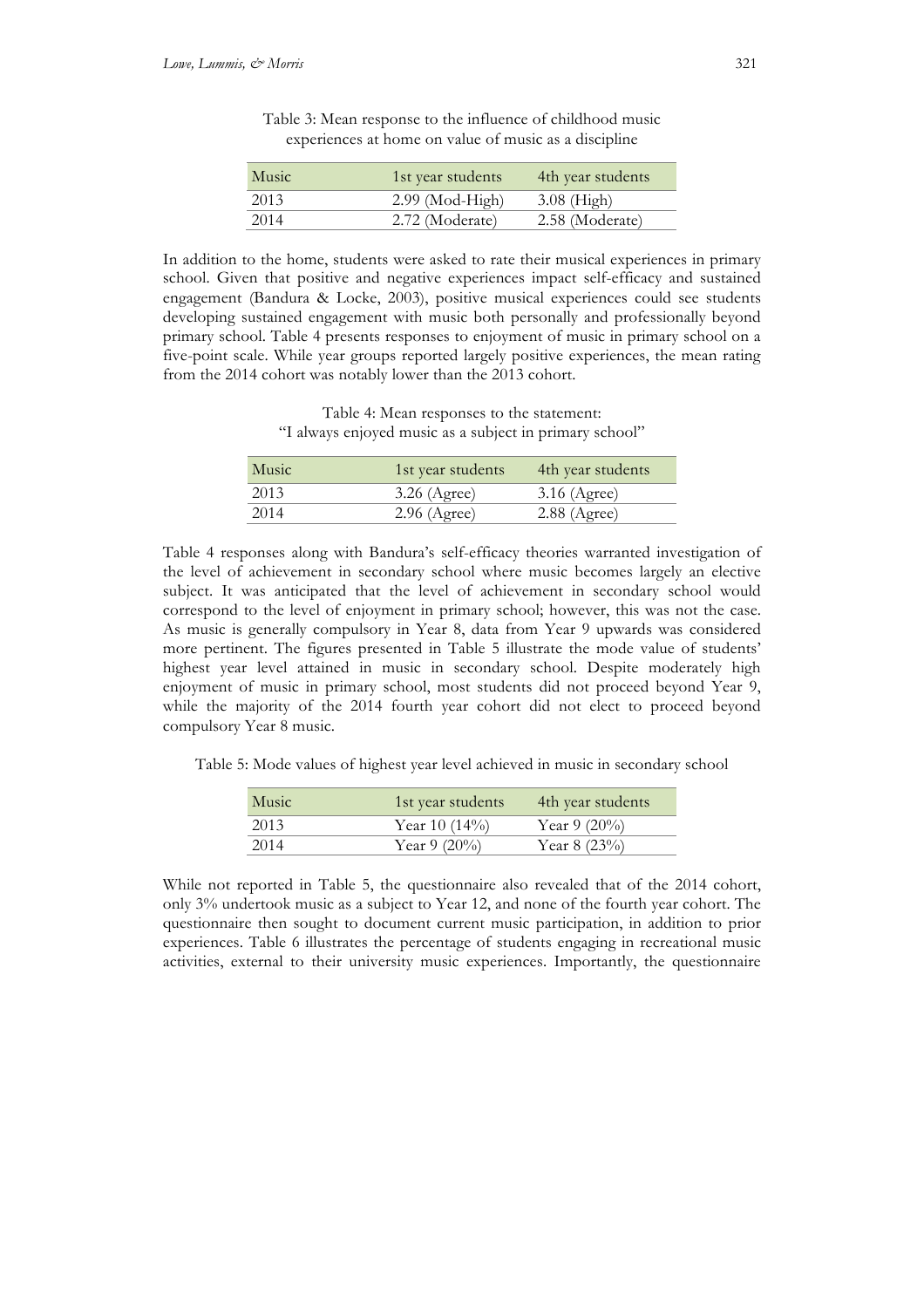| Music | 1st year students | 4th year students |
|-------|-------------------|-------------------|
| 2013  | $2.99$ (Mod-High) | $3.08$ (High)     |
| 2014  | 2.72 (Moderate)   | 2.58 (Moderate)   |

Table 3: Mean response to the influence of childhood music experiences at home on value of music as a discipline

In addition to the home, students were asked to rate their musical experiences in primary school. Given that positive and negative experiences impact self-efficacy and sustained engagement (Bandura & Locke, 2003), positive musical experiences could see students developing sustained engagement with music both personally and professionally beyond primary school. Table 4 presents responses to enjoyment of music in primary school on a five-point scale. While year groups reported largely positive experiences, the mean rating from the 2014 cohort was notably lower than the 2013 cohort.

Table 4: Mean responses to the statement: "I always enjoyed music as a subject in primary school"

| Music | 1st year students | 4th year students |
|-------|-------------------|-------------------|
| 2013  | $3.26$ (Agree)    | $3.16$ (Agree)    |
| 2014  | $2.96$ (Agree)    | $2.88$ (Agree)    |
|       |                   |                   |

Table 4 responses along with Bandura's self-efficacy theories warranted investigation of the level of achievement in secondary school where music becomes largely an elective subject. It was anticipated that the level of achievement in secondary school would correspond to the level of enjoyment in primary school; however, this was not the case. As music is generally compulsory in Year 8, data from Year 9 upwards was considered more pertinent. The figures presented in Table 5 illustrate the mode value of students' highest year level attained in music in secondary school. Despite moderately high enjoyment of music in primary school, most students did not proceed beyond Year 9, while the majority of the 2014 fourth year cohort did not elect to proceed beyond compulsory Year 8 music.

Table 5: Mode values of highest year level achieved in music in secondary school

| Music | 1st year students | 4th year students |
|-------|-------------------|-------------------|
| 2013  | Year 10 $(14\%)$  | Year 9 $(20\%)$   |
| 2014  | Year 9 $(20\%)$   | Year $8(23%)$     |

While not reported in Table 5, the questionnaire also revealed that of the 2014 cohort, only 3% undertook music as a subject to Year 12, and none of the fourth year cohort. The questionnaire then sought to document current music participation, in addition to prior experiences. Table 6 illustrates the percentage of students engaging in recreational music activities, external to their university music experiences. Importantly, the questionnaire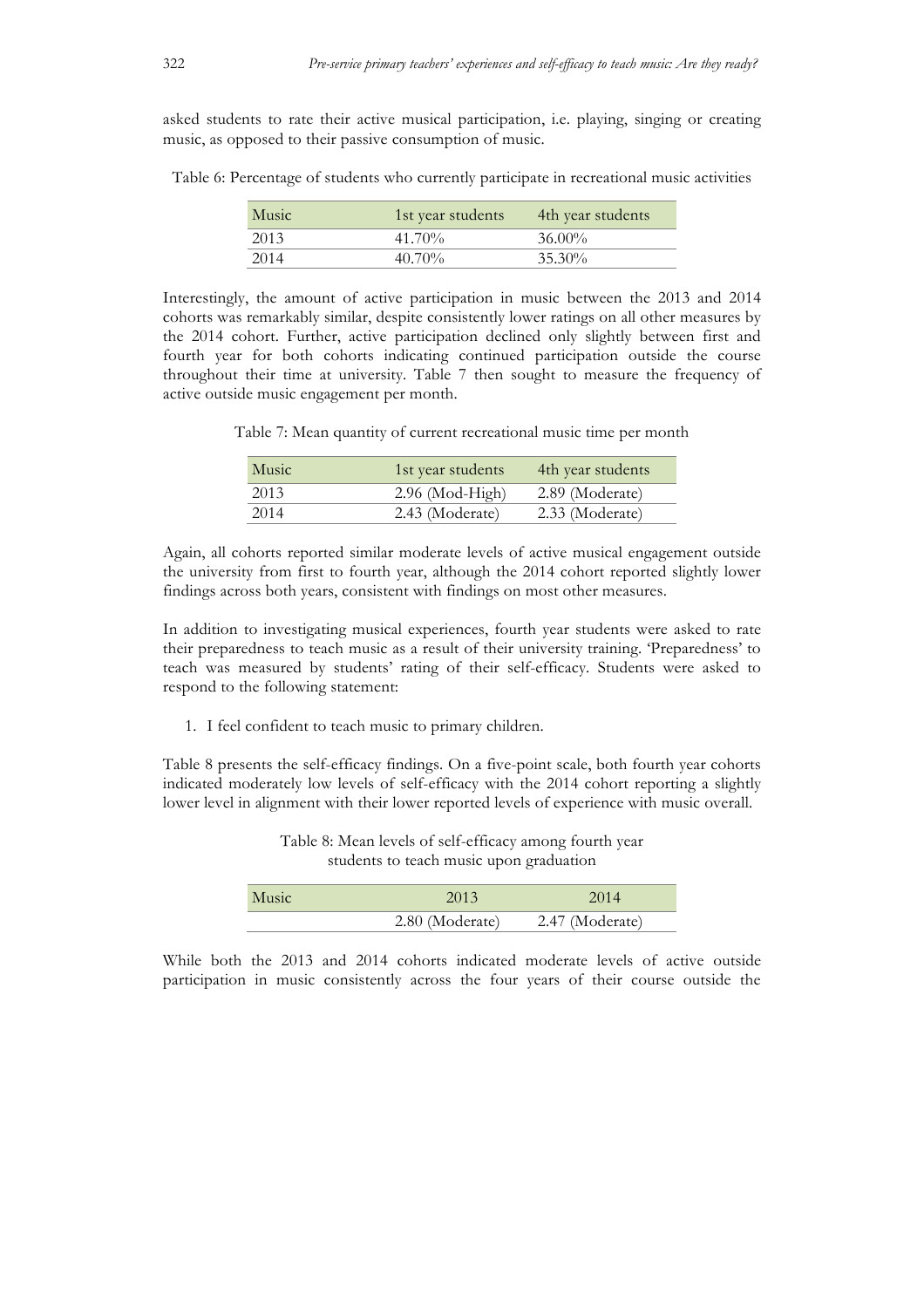asked students to rate their active musical participation, i.e. playing, singing or creating music, as opposed to their passive consumption of music.

Table 6: Percentage of students who currently participate in recreational music activities

| Music | 1st year students | 4th year students |
|-------|-------------------|-------------------|
| 2013  | $41.70\%$         | $36.00\%$         |
| 2014  | $40.70\%$         | $35.30\%$         |

Interestingly, the amount of active participation in music between the 2013 and 2014 cohorts was remarkably similar, despite consistently lower ratings on all other measures by the 2014 cohort. Further, active participation declined only slightly between first and fourth year for both cohorts indicating continued participation outside the course throughout their time at university. Table 7 then sought to measure the frequency of active outside music engagement per month.

Table 7: Mean quantity of current recreational music time per month

| Music | 1st year students | 4th year students |
|-------|-------------------|-------------------|
| 2013  | $2.96$ (Mod-High) | 2.89 (Moderate)   |
| 2014  | 2.43 (Moderate)   | 2.33 (Moderate)   |

Again, all cohorts reported similar moderate levels of active musical engagement outside the university from first to fourth year, although the 2014 cohort reported slightly lower findings across both years, consistent with findings on most other measures.

In addition to investigating musical experiences, fourth year students were asked to rate their preparedness to teach music as a result of their university training. 'Preparedness' to teach was measured by students' rating of their self-efficacy. Students were asked to respond to the following statement:

1. I feel confident to teach music to primary children.

Table 8 presents the self-efficacy findings. On a five-point scale, both fourth year cohorts indicated moderately low levels of self-efficacy with the 2014 cohort reporting a slightly lower level in alignment with their lower reported levels of experience with music overall.

| Music | 2013            | 2014            |
|-------|-----------------|-----------------|
|       | 2.80 (Moderate) | 2.47 (Moderate) |

Table 8: Mean levels of self-efficacy among fourth year students to teach music upon graduation

While both the 2013 and 2014 cohorts indicated moderate levels of active outside participation in music consistently across the four years of their course outside the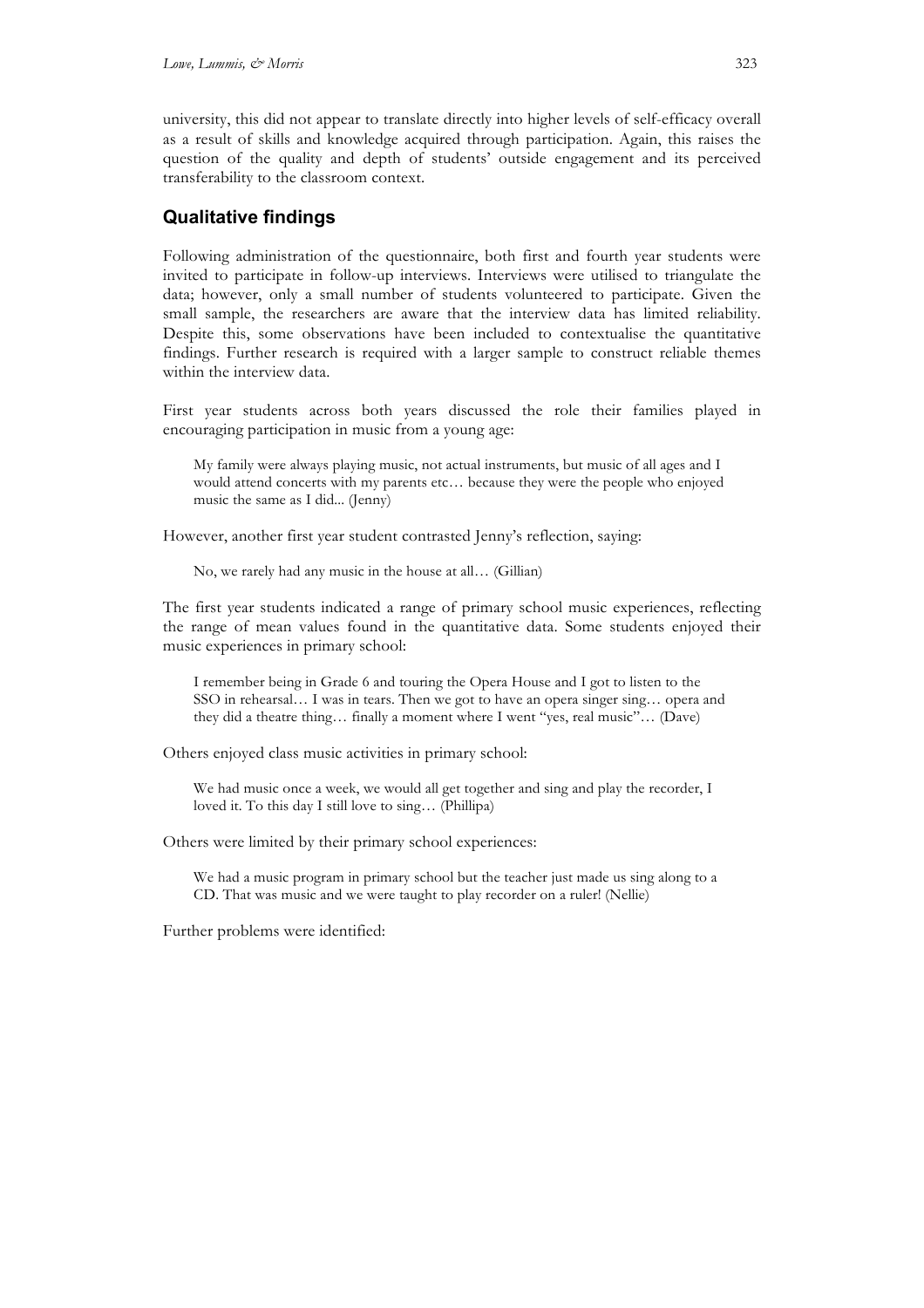university, this did not appear to translate directly into higher levels of self-efficacy overall as a result of skills and knowledge acquired through participation. Again, this raises the question of the quality and depth of students' outside engagement and its perceived transferability to the classroom context.

# **Qualitative findings**

Following administration of the questionnaire, both first and fourth year students were invited to participate in follow-up interviews. Interviews were utilised to triangulate the data; however, only a small number of students volunteered to participate. Given the small sample, the researchers are aware that the interview data has limited reliability. Despite this, some observations have been included to contextualise the quantitative findings. Further research is required with a larger sample to construct reliable themes within the interview data.

First year students across both years discussed the role their families played in encouraging participation in music from a young age:

My family were always playing music, not actual instruments, but music of all ages and I would attend concerts with my parents etc… because they were the people who enjoyed music the same as I did... (Jenny)

However, another first year student contrasted Jenny's reflection, saying:

No, we rarely had any music in the house at all… (Gillian)

The first year students indicated a range of primary school music experiences, reflecting the range of mean values found in the quantitative data. Some students enjoyed their music experiences in primary school:

I remember being in Grade 6 and touring the Opera House and I got to listen to the SSO in rehearsal… I was in tears. Then we got to have an opera singer sing… opera and they did a theatre thing… finally a moment where I went "yes, real music"… (Dave)

Others enjoyed class music activities in primary school:

We had music once a week, we would all get together and sing and play the recorder, I loved it. To this day I still love to sing… (Phillipa)

Others were limited by their primary school experiences:

We had a music program in primary school but the teacher just made us sing along to a CD. That was music and we were taught to play recorder on a ruler! (Nellie)

Further problems were identified: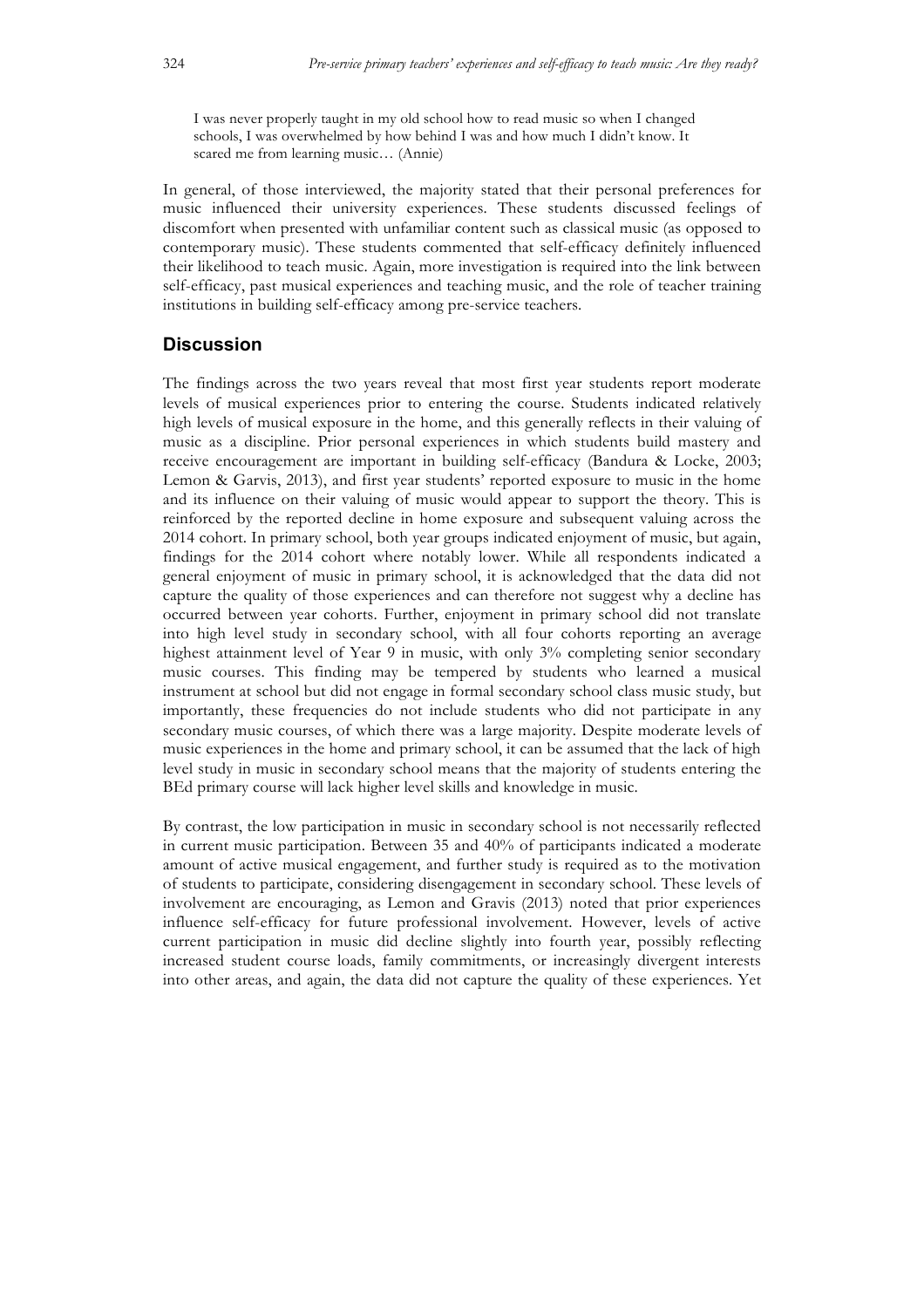I was never properly taught in my old school how to read music so when I changed schools, I was overwhelmed by how behind I was and how much I didn't know. It scared me from learning music… (Annie)

In general, of those interviewed, the majority stated that their personal preferences for music influenced their university experiences. These students discussed feelings of discomfort when presented with unfamiliar content such as classical music (as opposed to contemporary music). These students commented that self-efficacy definitely influenced their likelihood to teach music. Again, more investigation is required into the link between self-efficacy, past musical experiences and teaching music, and the role of teacher training institutions in building self-efficacy among pre-service teachers.

### **Discussion**

The findings across the two years reveal that most first year students report moderate levels of musical experiences prior to entering the course. Students indicated relatively high levels of musical exposure in the home, and this generally reflects in their valuing of music as a discipline. Prior personal experiences in which students build mastery and receive encouragement are important in building self-efficacy (Bandura & Locke, 2003; Lemon & Garvis, 2013), and first year students' reported exposure to music in the home and its influence on their valuing of music would appear to support the theory. This is reinforced by the reported decline in home exposure and subsequent valuing across the 2014 cohort. In primary school, both year groups indicated enjoyment of music, but again, findings for the 2014 cohort where notably lower. While all respondents indicated a general enjoyment of music in primary school, it is acknowledged that the data did not capture the quality of those experiences and can therefore not suggest why a decline has occurred between year cohorts. Further, enjoyment in primary school did not translate into high level study in secondary school, with all four cohorts reporting an average highest attainment level of Year 9 in music, with only 3% completing senior secondary music courses. This finding may be tempered by students who learned a musical instrument at school but did not engage in formal secondary school class music study, but importantly, these frequencies do not include students who did not participate in any secondary music courses, of which there was a large majority. Despite moderate levels of music experiences in the home and primary school, it can be assumed that the lack of high level study in music in secondary school means that the majority of students entering the BEd primary course will lack higher level skills and knowledge in music.

By contrast, the low participation in music in secondary school is not necessarily reflected in current music participation. Between 35 and 40% of participants indicated a moderate amount of active musical engagement, and further study is required as to the motivation of students to participate, considering disengagement in secondary school. These levels of involvement are encouraging, as Lemon and Gravis (2013) noted that prior experiences influence self-efficacy for future professional involvement. However, levels of active current participation in music did decline slightly into fourth year, possibly reflecting increased student course loads, family commitments, or increasingly divergent interests into other areas, and again, the data did not capture the quality of these experiences. Yet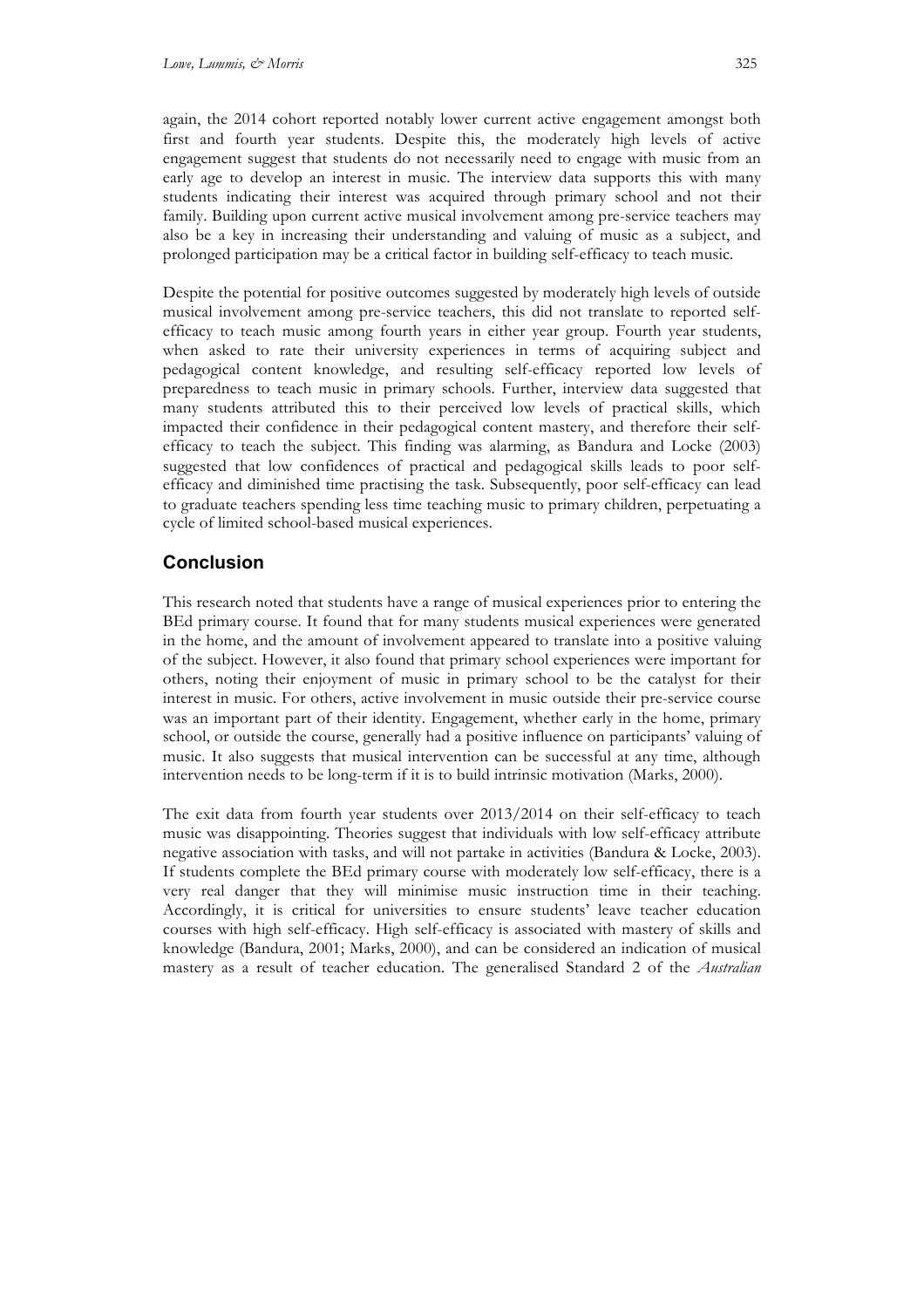again, the 2014 cohort reported notably lower current active engagement amongst both first and fourth year students. Despite this, the moderately high levels of active engagement suggest that students do not necessarily need to engage with music from an early age to develop an interest in music. The interview data supports this with many students indicating their interest was acquired through primary school and not their family. Building upon current active musical involvement among pre-service teachers may also be a key in increasing their understanding and valuing of music as a subject, and prolonged participation may be a critical factor in building self-efficacy to teach music.

Despite the potential for positive outcomes suggested by moderately high levels of outside musical involvement among pre-service teachers, this did not translate to reported selfefficacy to teach music among fourth years in either year group. Fourth year students, when asked to rate their university experiences in terms of acquiring subject and pedagogical content knowledge, and resulting self-efficacy reported low levels of preparedness to teach music in primary schools. Further, interview data suggested that many students attributed this to their perceived low levels of practical skills, which impacted their confidence in their pedagogical content mastery, and therefore their selfefficacy to teach the subject. This finding was alarming, as Bandura and Locke (2003) suggested that low confidences of practical and pedagogical skills leads to poor selfefficacy and diminished time practising the task. Subsequently, poor self-efficacy can lead to graduate teachers spending less time teaching music to primary children, perpetuating a cycle of limited school-based musical experiences.

# **Conclusion**

This research noted that students have a range of musical experiences prior to entering the BEd primary course. It found that for many students musical experiences were generated in the home, and the amount of involvement appeared to translate into a positive valuing of the subject. However, it also found that primary school experiences were important for others, noting their enjoyment of music in primary school to be the catalyst for their interest in music. For others, active involvement in music outside their pre-service course was an important part of their identity. Engagement, whether early in the home, primary school, or outside the course, generally had a positive influence on participants' valuing of music. It also suggests that musical intervention can be successful at any time, although intervention needs to be long-term if it is to build intrinsic motivation (Marks, 2000).

The exit data from fourth year students over 2013/2014 on their self-efficacy to teach music was disappointing. Theories suggest that individuals with low self-efficacy attribute negative association with tasks, and will not partake in activities (Bandura & Locke, 2003). If students complete the BEd primary course with moderately low self-efficacy, there is a very real danger that they will minimise music instruction time in their teaching. Accordingly, it is critical for universities to ensure students' leave teacher education courses with high self-efficacy. High self-efficacy is associated with mastery of skills and knowledge (Bandura, 2001; Marks, 2000), and can be considered an indication of musical mastery as a result of teacher education. The generalised Standard 2 of the *Australian*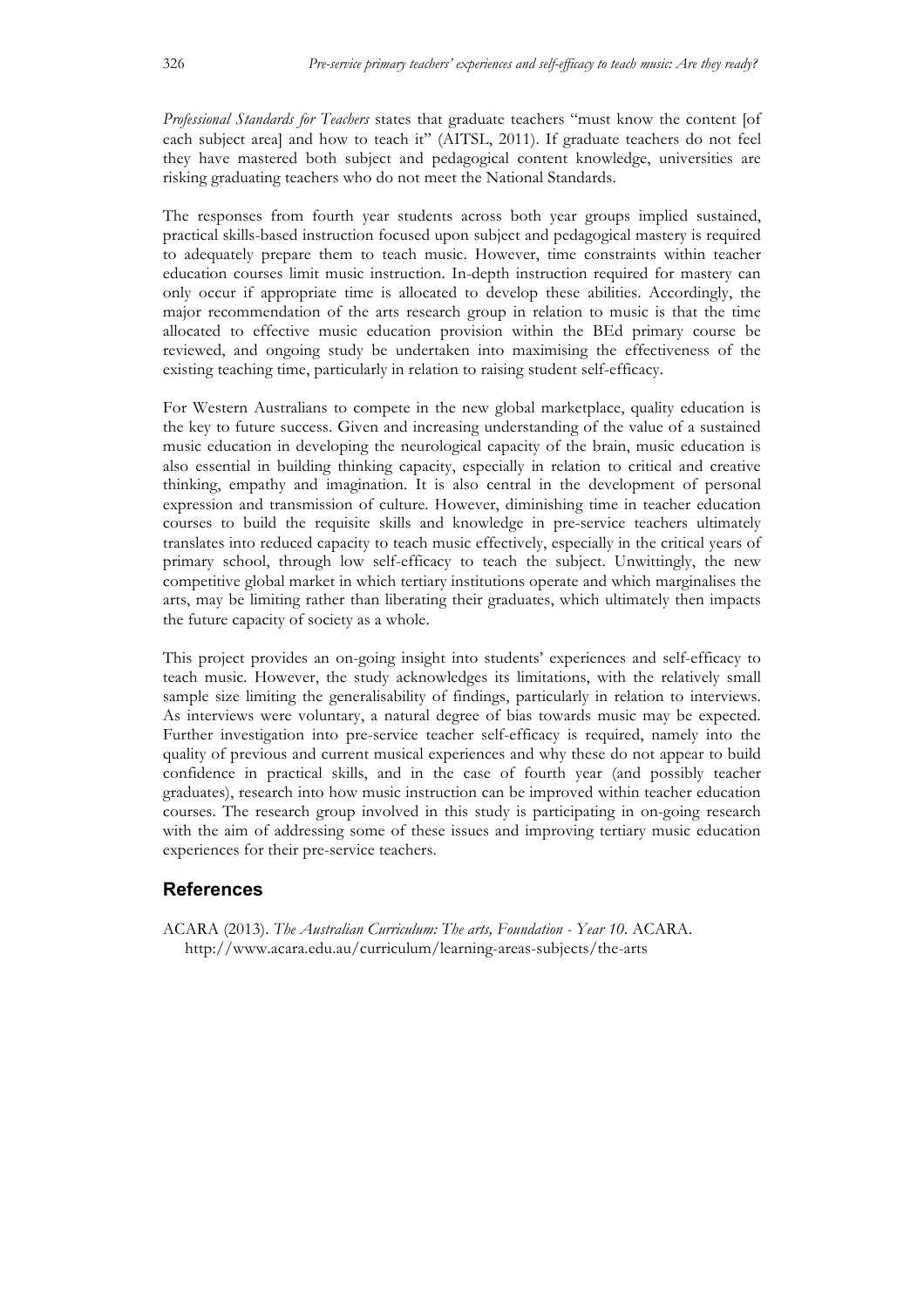*Professional Standards for Teachers* states that graduate teachers "must know the content [of each subject area] and how to teach it" (AITSL, 2011). If graduate teachers do not feel they have mastered both subject and pedagogical content knowledge, universities are risking graduating teachers who do not meet the National Standards.

The responses from fourth year students across both year groups implied sustained, practical skills-based instruction focused upon subject and pedagogical mastery is required to adequately prepare them to teach music. However, time constraints within teacher education courses limit music instruction. In-depth instruction required for mastery can only occur if appropriate time is allocated to develop these abilities. Accordingly, the major recommendation of the arts research group in relation to music is that the time allocated to effective music education provision within the BEd primary course be reviewed, and ongoing study be undertaken into maximising the effectiveness of the existing teaching time, particularly in relation to raising student self-efficacy.

For Western Australians to compete in the new global marketplace, quality education is the key to future success. Given and increasing understanding of the value of a sustained music education in developing the neurological capacity of the brain, music education is also essential in building thinking capacity, especially in relation to critical and creative thinking, empathy and imagination. It is also central in the development of personal expression and transmission of culture. However, diminishing time in teacher education courses to build the requisite skills and knowledge in pre-service teachers ultimately translates into reduced capacity to teach music effectively, especially in the critical years of primary school, through low self-efficacy to teach the subject. Unwittingly, the new competitive global market in which tertiary institutions operate and which marginalises the arts, may be limiting rather than liberating their graduates, which ultimately then impacts the future capacity of society as a whole.

This project provides an on-going insight into students' experiences and self-efficacy to teach music. However, the study acknowledges its limitations, with the relatively small sample size limiting the generalisability of findings, particularly in relation to interviews. As interviews were voluntary, a natural degree of bias towards music may be expected. Further investigation into pre-service teacher self-efficacy is required, namely into the quality of previous and current musical experiences and why these do not appear to build confidence in practical skills, and in the case of fourth year (and possibly teacher graduates), research into how music instruction can be improved within teacher education courses. The research group involved in this study is participating in on-going research with the aim of addressing some of these issues and improving tertiary music education experiences for their pre-service teachers.

#### **References**

ACARA (2013). *The Australian Curriculum: The arts, Foundation - Year 10*. ACARA. http://www.acara.edu.au/curriculum/learning-areas-subjects/the-arts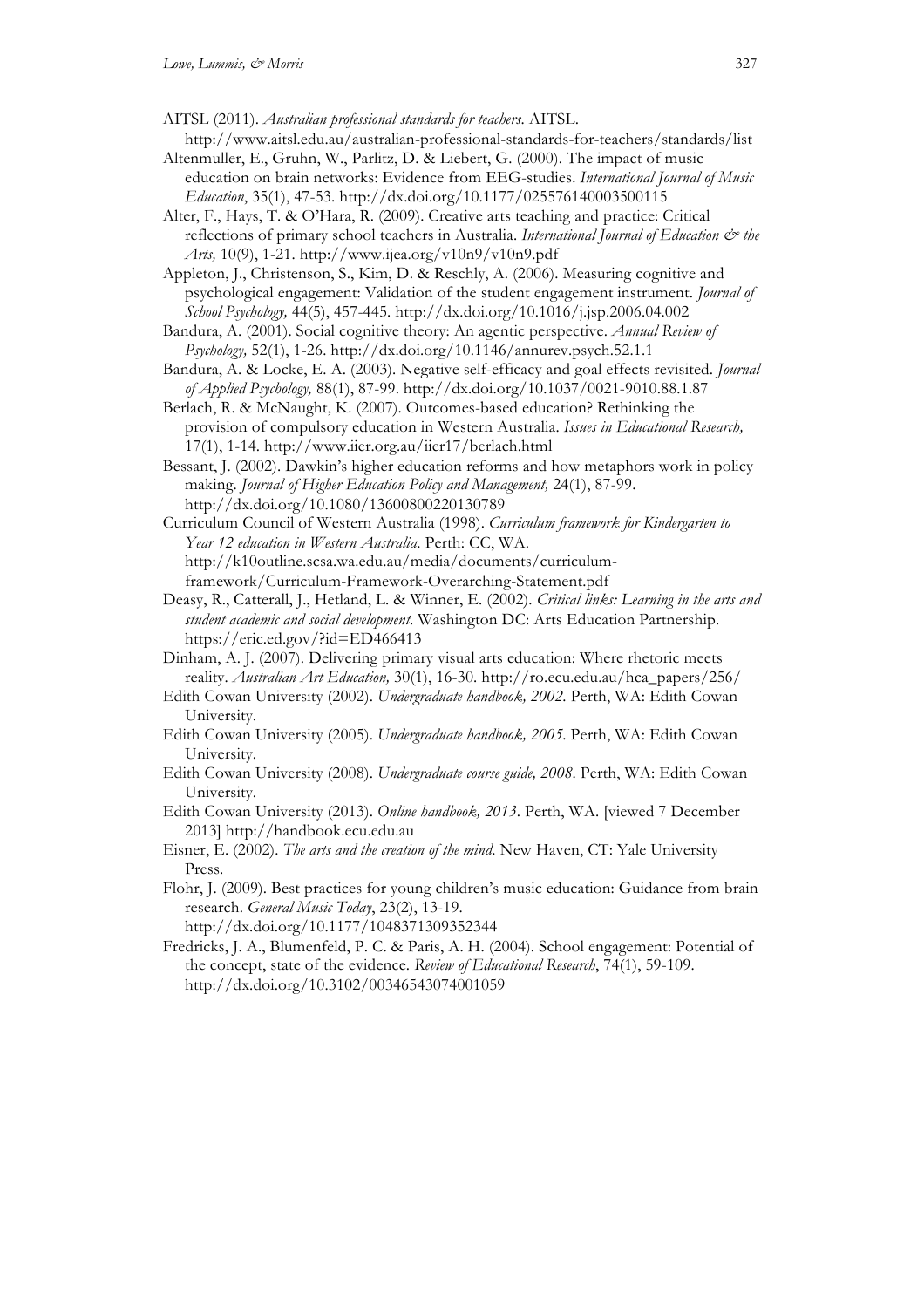AITSL (2011). *Australian professional standards for teachers*. AITSL. http://www.aitsl.edu.au/australian-professional-standards-for-teachers/standards/list

- Altenmuller, E., Gruhn, W., Parlitz, D. & Liebert, G. (2000). The impact of music education on brain networks: Evidence from EEG-studies. *International Journal of Music Education*, 35(1), 47-53. http://dx.doi.org/10.1177/025576140003500115
- Alter, F., Hays, T. & O'Hara, R. (2009). Creative arts teaching and practice: Critical reflections of primary school teachers in Australia. *International Journal of Education & the Arts,* 10(9), 1-21. http://www.ijea.org/v10n9/v10n9.pdf

Appleton, J., Christenson, S., Kim, D. & Reschly, A. (2006). Measuring cognitive and psychological engagement: Validation of the student engagement instrument. *Journal of School Psychology,* 44(5), 457-445. http://dx.doi.org/10.1016/j.jsp.2006.04.002

- Bandura, A. (2001). Social cognitive theory: An agentic perspective. *Annual Review of Psychology,* 52(1), 1-26. http://dx.doi.org/10.1146/annurev.psych.52.1.1
- Bandura, A. & Locke, E. A. (2003). Negative self-efficacy and goal effects revisited. *Journal of Applied Psychology,* 88(1), 87-99. http://dx.doi.org/10.1037/0021-9010.88.1.87
- Berlach, R. & McNaught, K. (2007). Outcomes-based education? Rethinking the provision of compulsory education in Western Australia. *Issues in Educational Research,*  17(1), 1-14. http://www.iier.org.au/iier17/berlach.html
- Bessant, J. (2002). Dawkin's higher education reforms and how metaphors work in policy making. *Journal of Higher Education Policy and Management,* 24(1), 87-99. http://dx.doi.org/10.1080/13600800220130789

Curriculum Council of Western Australia (1998). *Curriculum framework for Kindergarten to Year 12 education in Western Australia*. Perth: CC, WA. http://k10outline.scsa.wa.edu.au/media/documents/curriculumframework/Curriculum-Framework-Overarching-Statement.pdf

- Deasy, R., Catterall, J., Hetland, L. & Winner, E. (2002). *Critical links: Learning in the arts and student academic and social development*. Washington DC: Arts Education Partnership. https://eric.ed.gov/?id=ED466413
- Dinham, A. J. (2007). Delivering primary visual arts education: Where rhetoric meets reality. *Australian Art Education,* 30(1), 16-30. http://ro.ecu.edu.au/hca\_papers/256/
- Edith Cowan University (2002). *Undergraduate handbook, 2002*. Perth, WA: Edith Cowan University.
- Edith Cowan University (2005). *Undergraduate handbook, 2005*. Perth, WA: Edith Cowan University.
- Edith Cowan University (2008). *Undergraduate course guide, 2008*. Perth, WA: Edith Cowan University.
- Edith Cowan University (2013). *Online handbook, 2013*. Perth, WA. [viewed 7 December 2013] http://handbook.ecu.edu.au
- Eisner, E. (2002). *The arts and the creation of the mind*. New Haven, CT: Yale University Press.
- Flohr, J. (2009). Best practices for young children's music education: Guidance from brain research. *General Music Today*, 23(2), 13-19. http://dx.doi.org/10.1177/1048371309352344
- Fredricks, J. A., Blumenfeld, P. C. & Paris, A. H. (2004). School engagement: Potential of the concept, state of the evidence. *Review of Educational Research*, 74(1), 59-109. http://dx.doi.org/10.3102/00346543074001059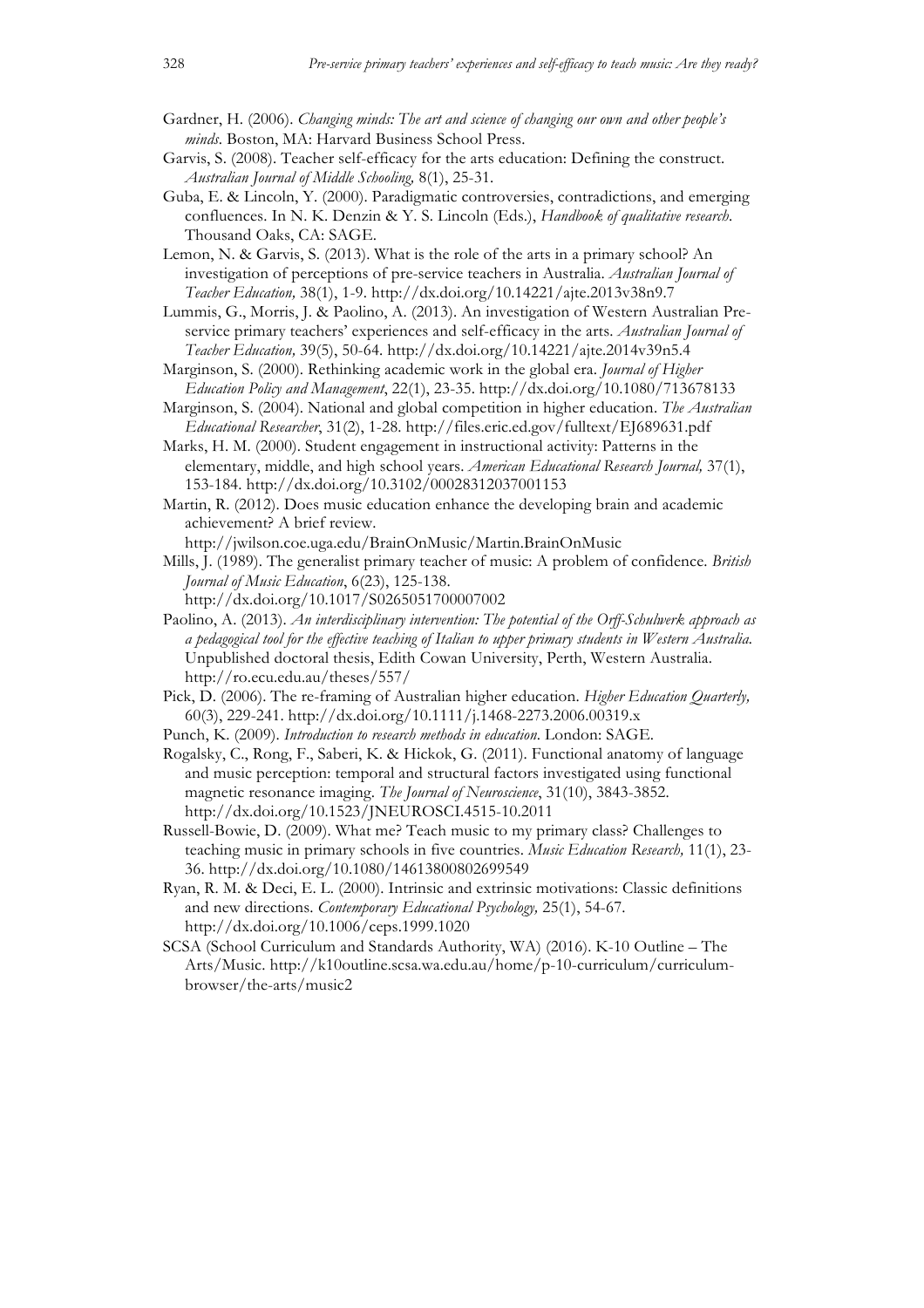- Gardner, H. (2006). *Changing minds: The art and science of changing our own and other people's minds*. Boston, MA: Harvard Business School Press.
- Garvis, S. (2008). Teacher self-efficacy for the arts education: Defining the construct. *Australian Journal of Middle Schooling,* 8(1), 25-31.
- Guba, E. & Lincoln, Y. (2000). Paradigmatic controversies, contradictions, and emerging confluences. In N. K. Denzin & Y. S. Lincoln (Eds.), *Handbook of qualitative research*. Thousand Oaks, CA: SAGE.
- Lemon, N. & Garvis, S. (2013). What is the role of the arts in a primary school? An investigation of perceptions of pre-service teachers in Australia. *Australian Journal of Teacher Education,* 38(1), 1-9. http://dx.doi.org/10.14221/ajte.2013v38n9.7
- Lummis, G., Morris, J. & Paolino, A. (2013). An investigation of Western Australian Preservice primary teachers' experiences and self-efficacy in the arts. *Australian Journal of Teacher Education,* 39(5), 50-64. http://dx.doi.org/10.14221/ajte.2014v39n5.4
- Marginson, S. (2000). Rethinking academic work in the global era. *Journal of Higher Education Policy and Management*, 22(1), 23-35. http://dx.doi.org/10.1080/713678133
- Marginson, S. (2004). National and global competition in higher education. *The Australian Educational Researcher*, 31(2), 1-28. http://files.eric.ed.gov/fulltext/EJ689631.pdf
- Marks, H. M. (2000). Student engagement in instructional activity: Patterns in the elementary, middle, and high school years. *American Educational Research Journal,* 37(1), 153-184. http://dx.doi.org/10.3102/00028312037001153
- Martin, R. (2012). Does music education enhance the developing brain and academic achievement? A brief review.
	- http://jwilson.coe.uga.edu/BrainOnMusic/Martin.BrainOnMusic
- Mills, J. (1989). The generalist primary teacher of music: A problem of confidence. *British Journal of Music Education*, 6(23), 125-138.
	- http://dx.doi.org/10.1017/S0265051700007002
- Paolino, A. (2013). *An interdisciplinary intervention: The potential of the Orff-Schulwerk approach as a pedagogical tool for the effective teaching of Italian to upper primary students in Western Australia.* Unpublished doctoral thesis, Edith Cowan University, Perth, Western Australia. http://ro.ecu.edu.au/theses/557/
- Pick, D. (2006). The re-framing of Australian higher education. *Higher Education Quarterly,*  60(3), 229-241. http://dx.doi.org/10.1111/j.1468-2273.2006.00319.x
- Punch, K. (2009). *Introduction to research methods in education*. London: SAGE.
- Rogalsky, C., Rong, F., Saberi, K. & Hickok, G. (2011). Functional anatomy of language and music perception: temporal and structural factors investigated using functional magnetic resonance imaging. *The Journal of Neuroscience*, 31(10), 3843-3852. http://dx.doi.org/10.1523/JNEUROSCI.4515-10.2011
- Russell-Bowie, D. (2009). What me? Teach music to my primary class? Challenges to teaching music in primary schools in five countries. *Music Education Research,* 11(1), 23- 36. http://dx.doi.org/10.1080/14613800802699549
- Ryan, R. M. & Deci, E. L. (2000). Intrinsic and extrinsic motivations: Classic definitions and new directions. *Contemporary Educational Psychology,* 25(1), 54-67. http://dx.doi.org/10.1006/ceps.1999.1020
- SCSA (School Curriculum and Standards Authority, WA) (2016). K-10 Outline The Arts/Music. http://k10outline.scsa.wa.edu.au/home/p-10-curriculum/curriculumbrowser/the-arts/music2